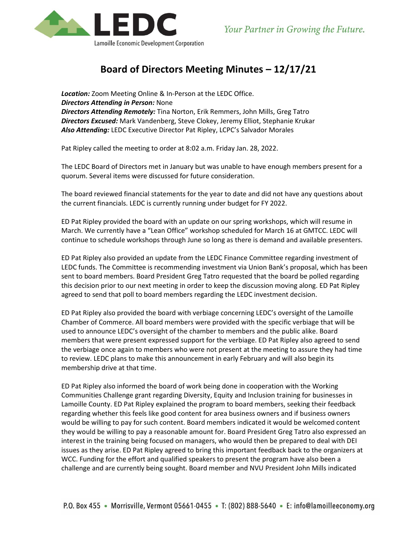

## **Board of Directors Meeting Minutes – 12/17/21**

*Location:* Zoom Meeting Online & In-Person at the LEDC Office. *Directors Attending in Person:* None *Directors Attending Remotely:* Tina Norton, Erik Remmers, John Mills, Greg Tatro *Directors Excused:* Mark Vandenberg, Steve Clokey, Jeremy Elliot, Stephanie Krukar *Also Attending:* LEDC Executive Director Pat Ripley, LCPC's Salvador Morales

Pat Ripley called the meeting to order at 8:02 a.m. Friday Jan. 28, 2022.

The LEDC Board of Directors met in January but was unable to have enough members present for a quorum. Several items were discussed for future consideration.

The board reviewed financial statements for the year to date and did not have any questions about the current financials. LEDC is currently running under budget for FY 2022.

ED Pat Ripley provided the board with an update on our spring workshops, which will resume in March. We currently have a "Lean Office" workshop scheduled for March 16 at GMTCC. LEDC will continue to schedule workshops through June so long as there is demand and available presenters.

ED Pat Ripley also provided an update from the LEDC Finance Committee regarding investment of LEDC funds. The Committee is recommending investment via Union Bank's proposal, which has been sent to board members. Board President Greg Tatro requested that the board be polled regarding this decision prior to our next meeting in order to keep the discussion moving along. ED Pat Ripley agreed to send that poll to board members regarding the LEDC investment decision.

ED Pat Ripley also provided the board with verbiage concerning LEDC's oversight of the Lamoille Chamber of Commerce. All board members were provided with the specific verbiage that will be used to announce LEDC's oversight of the chamber to members and the public alike. Board members that were present expressed support for the verbiage. ED Pat Ripley also agreed to send the verbiage once again to members who were not present at the meeting to assure they had time to review. LEDC plans to make this announcement in early February and will also begin its membership drive at that time.

ED Pat Ripley also informed the board of work being done in cooperation with the Working Communities Challenge grant regarding Diversity, Equity and Inclusion training for businesses in Lamoille County. ED Pat Ripley explained the program to board members, seeking their feedback regarding whether this feels like good content for area business owners and if business owners would be willing to pay for such content. Board members indicated it would be welcomed content they would be willing to pay a reasonable amount for. Board President Greg Tatro also expressed an interest in the training being focused on managers, who would then be prepared to deal with DEI issues as they arise. ED Pat Ripley agreed to bring this important feedback back to the organizers at WCC. Funding for the effort and qualified speakers to present the program have also been a challenge and are currently being sought. Board member and NVU President John Mills indicated